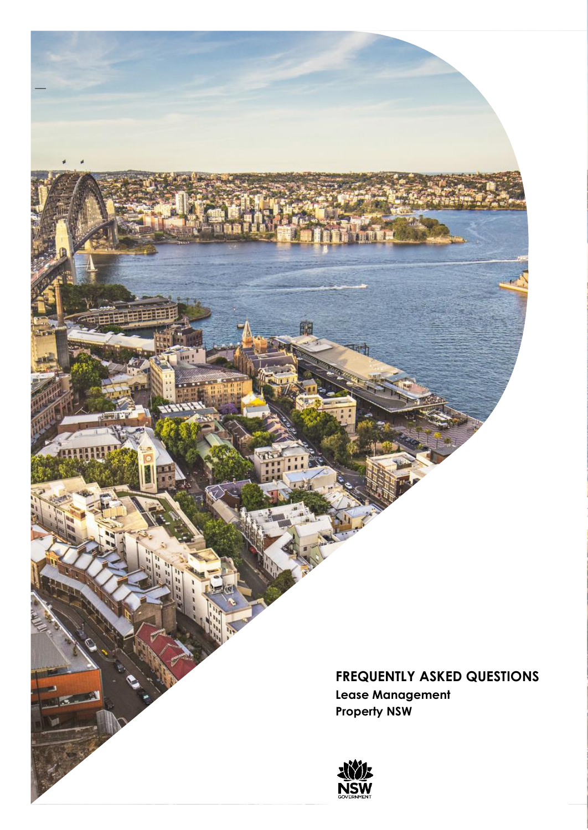**FREQUENTLY ASKED QUESTIONS Lease Management Property NSW**



**THE BLUE AND** 

 $\equiv$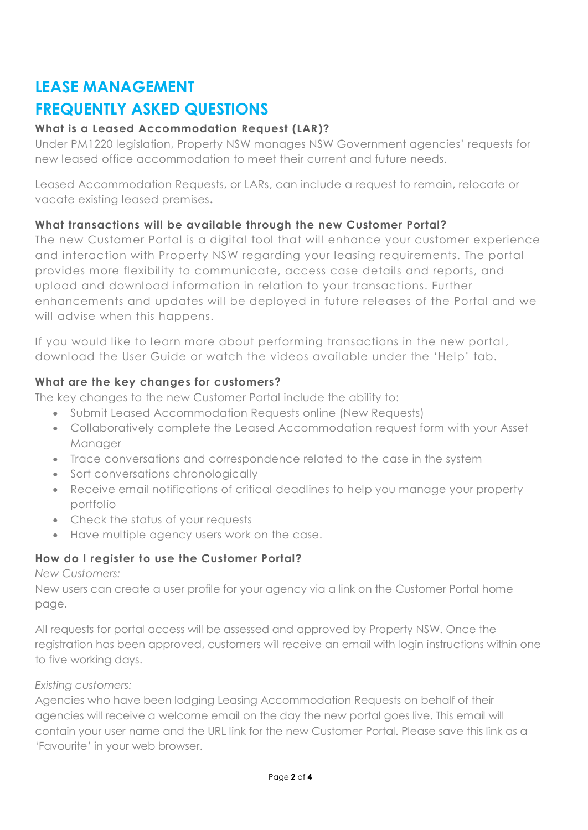# **LEASE MANAGEMENT**

# **FREQUENTLY ASKED QUESTIONS**

# **What is a Leased Accommodation Request (LAR)?**

Under PM1220 legislation, Property NSW manages NSW Government agencies' requests for new leased office accommodation to meet their current and future needs.

Leased Accommodation Requests, or LARs, can include a request to remain, relocate or vacate existing leased premises**.**

### **What transactions will be available through the new Customer Portal?**

The new Customer Portal is a digital tool that will enhance your customer experience and interaction with Property NSW regarding your leasing requirements. The portal provides more flexibility to communicate, access case details and reports, and upload and download information in relation to your transactions. Further enhancements and updates will be deployed in future releases of the Portal and we will advise when this happens.

If you would like to learn more about performing transactions in the new portal , download the User Guide or watch the videos available under the 'Help' tab.

# **What are the key changes for customers?**

The key changes to the new Customer Portal include the ability to:

- Submit Leased Accommodation Requests online (New Requests)
- Collaboratively complete the Leased Accommodation request form with your Asset Manager
- Trace conversations and correspondence related to the case in the system
- Sort conversations chronologically
- Receive email notifications of critical deadlines to help you manage your property portfolio
- Check the status of your requests
- Have multiple agency users work on the case.

# **How do I register to use the Customer Portal?**

*New Customers:*

New users can create a user profile for your agency via a link on the Customer Portal home page.

All requests for portal access will be assessed and approved by Property NSW. Once the registration has been approved, customers will receive an email with login instructions within one to five working days.

### *Existing customers:*

Agencies who have been lodging Leasing Accommodation Requests on behalf of their agencies will receive a welcome email on the day the new portal goes live. This email will contain your user name and the URL link for the new Customer Portal. Please save this link as a 'Favourite' in your web browser.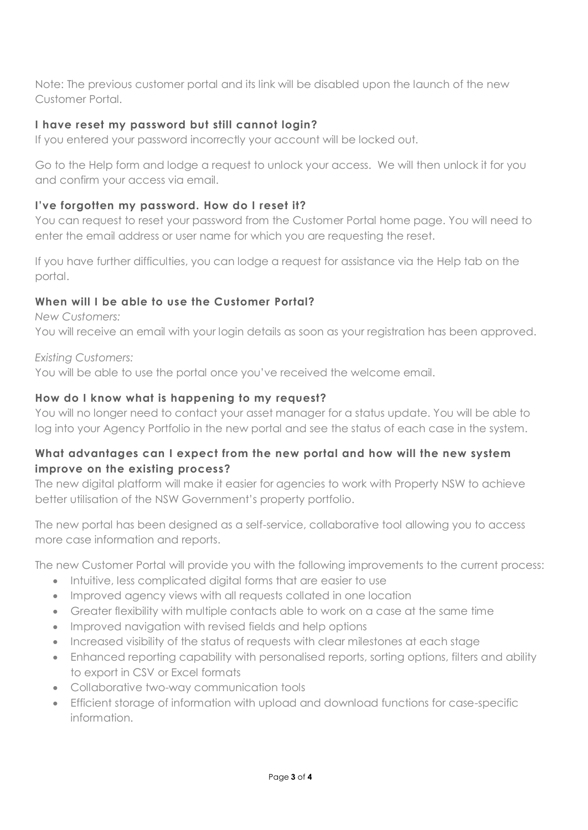Note: The previous customer portal and its link will be disabled upon the launch of the new Customer Portal.

# **I have reset my password but still cannot login?**

If you entered your password incorrectly your account will be locked out.

Go to the Help form and lodge a request to unlock your access. We will then unlock it for you and confirm your access via email.

# **I've forgotten my password. How do I reset it?**

You can request to reset your password from the Customer Portal home page. You will need to enter the email address or user name for which you are requesting the reset.

If you have further difficulties, you can lodge a request for assistance via the Help tab on the portal.

# **When will I be able to use the Customer Portal?**

*New Customers:*  You will receive an email with your login details as soon as your registration has been approved.

*Existing Customers:* You will be able to use the portal once you've received the welcome email.

### **How do I know what is happening to my request?**

You will no longer need to contact your asset manager for a status update. You will be able to log into your Agency Portfolio in the new portal and see the status of each case in the system.

# **What advantages can I expect from the new portal and how will the new system improve on the existing process?**

The new digital platform will make it easier for agencies to work with Property NSW to achieve better utilisation of the NSW Government's property portfolio.

The new portal has been designed as a self-service, collaborative tool allowing you to access more case information and reports.

The new Customer Portal will provide you with the following improvements to the current process:

- Intuitive, less complicated digital forms that are easier to use
- Improved agency views with all requests collated in one location
- Greater flexibility with multiple contacts able to work on a case at the same time
- Improved navigation with revised fields and help options
- Increased visibility of the status of requests with clear milestones at each stage
- Enhanced reporting capability with personalised reports, sorting options, filters and ability to export in CSV or Excel formats
- Collaborative two-way communication tools
- Efficient storage of information with upload and download functions for case-specific information.